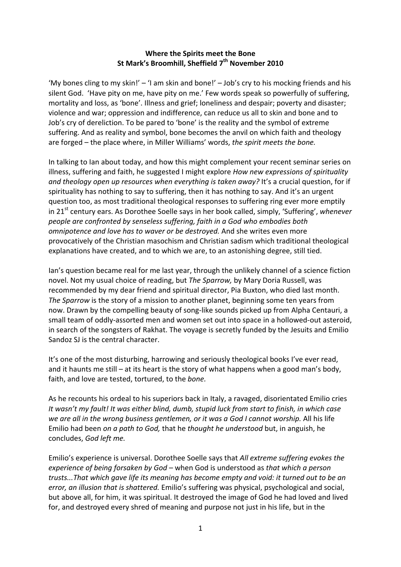## **Where the Spirits meet the Bone**  St Mark's Broomhill, Sheffield 7<sup>th</sup> November 2010

'My bones cling to my skin!' – 'I am skin and bone!' – Job's cry to his mocking friends and his silent God. 'Have pity on me, have pity on me.' Few words speak so powerfully of suffering, mortality and loss, as 'bone'. Illness and grief; loneliness and despair; poverty and disaster; violence and war; oppression and indifference, can reduce us all to skin and bone and to Job's cry of dereliction. To be pared to 'bone' is the reality and the symbol of extreme suffering. And as reality and symbol, bone becomes the anvil on which faith and theology are forged – the place where, in Miller Williams' words, *the spirit meets the bone.* 

In talking to Ian about today, and how this might complement your recent seminar series on illness, suffering and faith, he suggested I might explore *How new expressions of spirituality*  and theology open up resources when everything is taken away? It's a crucial question, for if spirituality has nothing to say to suffering, then it has nothing to say. And it's an urgent question too, as most traditional theological responses to suffering ring ever more emptily in 21st century ears. As Dorothee Soelle says in her book called, simply, 'Suffering', *whenever people are confronted by senseless suffering, faith in a God who embodies both omnipotence and love has to waver or be destroyed.* And she writes even more provocatively of the Christian masochism and Christian sadism which traditional theological explanations have created, and to which we are, to an astonishing degree, still tied.

Ian's question became real for me last year, through the unlikely channel of a science fiction novel. Not my usual choice of reading, but *The Sparrow,* by Mary Doria Russell, was recommended by my dear friend and spiritual director, Pia Buxton, who died last month. *The Sparrow* is the story of a mission to another planet, beginning some ten years from now. Drawn by the compelling beauty of song-like sounds picked up from Alpha Centauri, a small team of oddly-assorted men and women set out into space in a hollowed-out asteroid, in search of the songsters of Rakhat. The voyage is secretly funded by the Jesuits and Emilio Sandoz SJ is the central character.

It's one of the most disturbing, harrowing and seriously theological books I've ever read, and it haunts me still – at its heart is the story of what happens when a good man's body, faith, and love are tested, tortured, to the *bone.*

As he recounts his ordeal to his superiors back in Italy, a ravaged, disorientated Emilio cries *It wasn't my fault! It was either blind, dumb, stupid luck from start to finish, in which case*  we are all in the wrong business gentlemen, or it was a God I cannot worship. All his life Emilio had been *on a path to God,* that he *thought he understood* but, in anguish, he concludes, *God left me.* 

Emilio's experience is universal. Dorothee Soelle says that *All extreme suffering evokes the experience of being forsaken by God –* when God is understood as *that which a person trusts...That which gave life its meaning has become empty and void: it turned out to be an error, an illusion that is shattered.* Emilio's suffering was physical, psychological and social, but above all, for him, it was spiritual. It destroyed the image of God he had loved and lived for, and destroyed every shred of meaning and purpose not just in his life, but in the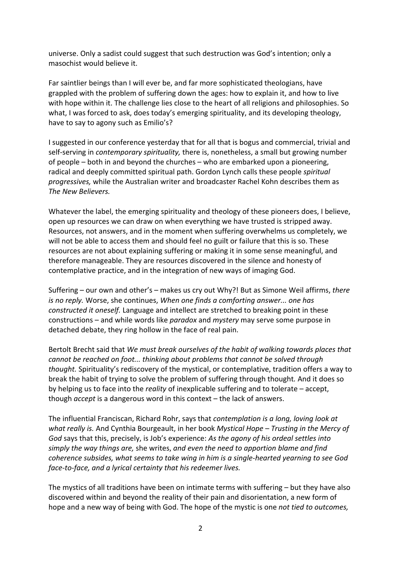universe. Only a sadist could suggest that such destruction was God's intention; only a masochist would believe it.

Far saintlier beings than I will ever be, and far more sophisticated theologians, have grappled with the problem of suffering down the ages: how to explain it, and how to live with hope within it. The challenge lies close to the heart of all religions and philosophies. So what, I was forced to ask, does today's emerging spirituality, and its developing theology, have to say to agony such as Emilio's?

I suggested in our conference yesterday that for all that is bogus and commercial, trivial and self-serving in *contemporary spirituality,* there is, nonetheless, a small but growing number of people – both in and beyond the churches – who are embarked upon a pioneering, radical and deeply committed spiritual path. Gordon Lynch calls these people *spiritual progressives,* while the Australian writer and broadcaster Rachel Kohn describes them as *The New Believers.* 

Whatever the label, the emerging spirituality and theology of these pioneers does, I believe, open up resources we can draw on when everything we have trusted is stripped away. Resources, not answers, and in the moment when suffering overwhelms us completely, we will not be able to access them and should feel no guilt or failure that this is so. These resources are not about explaining suffering or making it in some sense meaningful, and therefore manageable. They are resources discovered in the silence and honesty of contemplative practice, and in the integration of new ways of imaging God.

Suffering – our own and other's – makes us cry out Why?! But as Simone Weil affirms, *there is no reply.* Worse, she continues, *When one finds a comforting answer... one has constructed it oneself.* Language and intellect are stretched to breaking point in these constructions – and while words like *paradox* and *mystery* may serve some purpose in detached debate, they ring hollow in the face of real pain.

Bertolt Brecht said that *We must break ourselves of the habit of walking towards places that cannot be reached on foot... thinking about problems that cannot be solved through thought.* Spirituality's rediscovery of the mystical, or contemplative, tradition offers a way to break the habit of trying to solve the problem of suffering through thought*.* And it does so by helping us to face into the *reality* of inexplicable suffering and to tolerate – accept, though *accept* is a dangerous word in this context – the lack of answers.

The influential Franciscan, Richard Rohr, says that *contemplation is a long, loving look at what really is.* And Cynthia Bourgeault, in her book *Mystical Hope – Trusting in the Mercy of God* says that this, precisely, is Job's experience: *As the agony of his ordeal settles into simply the way things are,* she writes, *and even the need to apportion blame and find coherence subsides, what seems to take wing in him is a single-hearted yearning to see God face-to-face, and a lyrical certainty that his redeemer lives.* 

The mystics of all traditions have been on intimate terms with suffering – but they have also discovered within and beyond the reality of their pain and disorientation, a new form of hope and a new way of being with God. The hope of the mystic is one *not tied to outcomes,*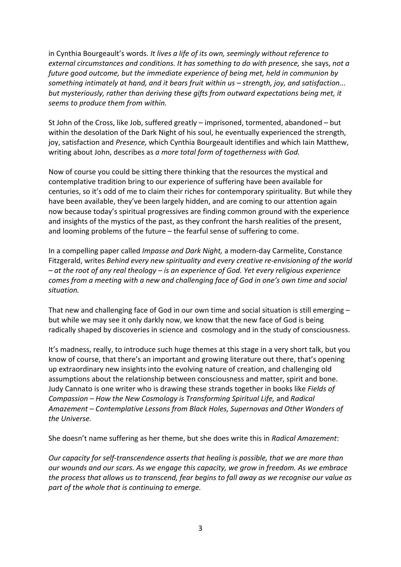in Cynthia Bourgeault's words. *It lives a life of its own, seemingly without reference to external circumstances and conditions. It has something to do with presence,* she says, *not a future good outcome, but the immediate experience of being met, held in communion by something intimately at hand, and it bears fruit within us – strength, joy, and satisfaction... but mysteriously, rather than deriving these gifts from outward expectations being met, it seems to produce them from within.* 

St John of the Cross, like Job, suffered greatly – imprisoned, tormented, abandoned – but within the desolation of the Dark Night of his soul, he eventually experienced the strength, joy, satisfaction and *Presence,* which Cynthia Bourgeault identifies and which Iain Matthew, writing about John, describes as *a more total form of togetherness with God.*

Now of course you could be sitting there thinking that the resources the mystical and contemplative tradition bring to our experience of suffering have been available for centuries, so it's odd of me to claim their riches for contemporary spirituality. But while they have been available, they've been largely hidden, and are coming to our attention again now because today's spiritual progressives are finding common ground with the experience and insights of the mystics of the past, as they confront the harsh realities of the present, and looming problems of the future – the fearful sense of suffering to come.

In a compelling paper called *Impasse and Dark Night,* a modern-day Carmelite, Constance Fitzgerald, writes *Behind every new spirituality and every creative re-envisioning of the world – at the root of any real theology – is an experience of God. Yet every religious experience comes from a meeting with a new and challenging face of God in one's own time and social situation.* 

That new and challenging face of God in our own time and social situation is still emerging – but while we may see it only darkly now, we know that the new face of God is being radically shaped by discoveries in science and cosmology and in the study of consciousness.

It's madness, really, to introduce such huge themes at this stage in a very short talk, but you know of course, that there's an important and growing literature out there, that's opening up extraordinary new insights into the evolving nature of creation, and challenging old assumptions about the relationship between consciousness and matter, spirit and bone. Judy Cannato is one writer who is drawing these strands together in books like *Fields of Compassion – How the New Cosmology is Transforming Spiritual Life,* and *Radical Amazement – Contemplative Lessons from Black Holes, Supernovas and Other Wonders of the Universe.*

She doesn't name suffering as her theme, but she does write this in *Radical Amazement*:

*Our capacity for self-transcendence asserts that healing is possible, that we are more than our wounds and our scars. As we engage this capacity, we grow in freedom. As we embrace the process that allows us to transcend, fear begins to fall away as we recognise our value as part of the whole that is continuing to emerge.*